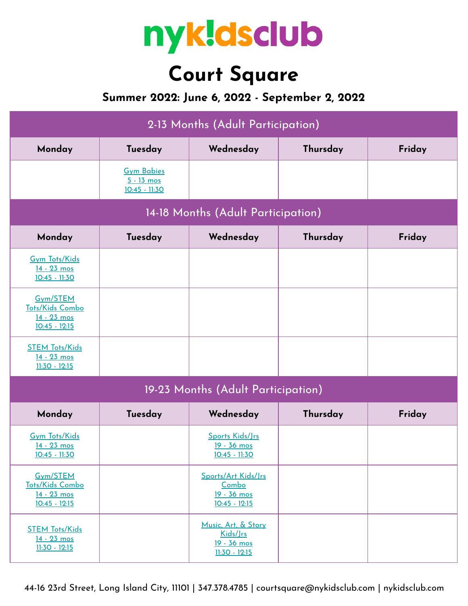

## **Court Square**

## **Summer 2022: June 6, 2022 - September 2, 2022**

| 2-13 Months (Adult Participation)                             |                                                      |                                                                   |          |        |  |
|---------------------------------------------------------------|------------------------------------------------------|-------------------------------------------------------------------|----------|--------|--|
| Monday                                                        | Tuesday                                              | Wednesday                                                         | Thursday | Friday |  |
|                                                               | <b>Gym Babies</b><br>$5 - 13$ mos<br>$10:45 - 11:30$ |                                                                   |          |        |  |
| 14-18 Months (Adult Participation)                            |                                                      |                                                                   |          |        |  |
| Monday                                                        | Tuesday                                              | Wednesday                                                         | Thursday | Friday |  |
| <b>Gym Tots/Kids</b><br>14 - 23 mos<br>10:45 - 11:30          |                                                      |                                                                   |          |        |  |
| Gym/STEM<br>Tots/Kids Combo<br>14 - 23 mos<br>$10:45 - 12:15$ |                                                      |                                                                   |          |        |  |
| <b>STEM Tots/Kids</b><br>14 - 23 mos<br>$11:30 - 12:15$       |                                                      |                                                                   |          |        |  |
| 19-23 Months (Adult Participation)                            |                                                      |                                                                   |          |        |  |
| Monday                                                        | Tuesday                                              | Wednesday                                                         | Thursday | Friday |  |
| <b>Gym Tots/Kids</b><br>14 - 23 mos<br>10:45 - 11:30          |                                                      | Sports Kids/Jrs<br>19 - 36 mos<br>10:45 - 11:30                   |          |        |  |
| Gym/STEM<br>Tots/Kids Combo<br>14 - 23 mos<br>$10:45 - 12:15$ |                                                      | Sports/Art Kids/Jrs<br>Combo<br>19 - 36 mos<br>$10:45 - 12:15$    |          |        |  |
| <b>STEM Tots/Kids</b><br>14 - 23 mos<br>$11:30 - 12:15$       |                                                      | Music, Art, & Story<br>Kids/Jrs<br>19 - 36 mos<br>$11:30 - 12:15$ |          |        |  |

44-16 23rd Street, Long Island City, 11101 | 347.378.4785 | courtsquare@nykidsclub.com | nykidsclub.com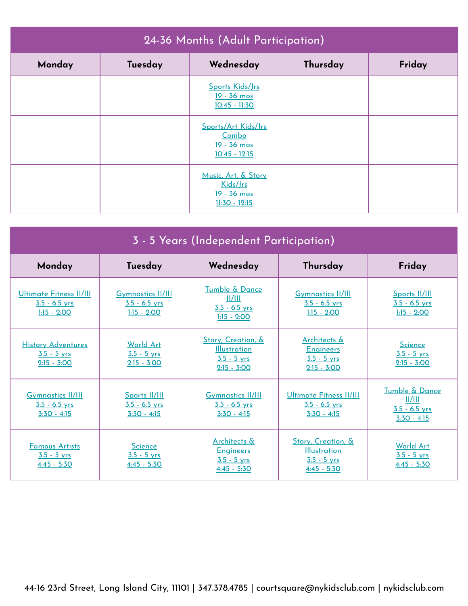| 24-36 Months (Adult Participation) |         |                                                                       |          |        |  |
|------------------------------------|---------|-----------------------------------------------------------------------|----------|--------|--|
| Monday                             | Tuesday | Wednesday                                                             | Thursday | Friday |  |
|                                    |         | Sports Kids/Jrs<br><u>19 - 36 mos</u><br>$10:45 - 11:30$              |          |        |  |
|                                    |         | Sports/Art Kids/Jrs<br>Combo<br><u>19 - 36 mos</u><br>$10:45 - 12:15$ |          |        |  |
|                                    |         | Music, Art, & Story<br>Kids/Jrs<br>19 - 36 mos<br>$11:30 - 12:15$     |          |        |  |

| 3 - 5 Years (Independent Participation)                            |                                                              |                                                                               |                                                                               |                                                              |  |
|--------------------------------------------------------------------|--------------------------------------------------------------|-------------------------------------------------------------------------------|-------------------------------------------------------------------------------|--------------------------------------------------------------|--|
| Monday                                                             | Tuesday                                                      | Wednesday                                                                     | Thursday                                                                      | Friday                                                       |  |
| <b>Ultimate Fitness II/III</b><br>$3.5 - 6.5$ yrs<br>$1:15 - 2:00$ | <b>Gymnastics II/III</b><br>$3.5 - 6.5$ yrs<br>$1:15 - 2:00$ | Tumble & Dance<br>  /   <br>$3.5 - 6.5$ yrs<br>$1:15 - 2:00$                  | <b>Gymnastics II/III</b><br>$3.5 - 6.5$ yrs<br>$1:15 - 2:00$                  | Sports II/III<br>$3.5 - 6.5$ yrs<br>$1:15 - 2:00$            |  |
| <b>History Adventures</b><br>$3.5 - 5$ yrs<br>$2:15 - 3:00$        | <b>World Art</b><br>$3.5 - 5$ vrs<br>$2:15 - 3:00$           | Story, Creation, &<br><b>Illustration</b><br>$3.5 - 5$ yrs<br>$2:15 - 3:00$   | <b>Architects &amp;</b><br><b>Engineers</b><br>$3.5 - 5$ yrs<br>$2:15 - 3:00$ | <b>Science</b><br>$3.5 - 5$ vrs<br>$2:15 - 3:00$             |  |
| <b>Gymnastics II/III</b><br>$3.5 - 6.5$ yrs<br>$3:30 - 4:15$       | Sports II/III<br>$3.5 - 6.5$ yrs<br>$3:30 - 4:15$            | <b>Gymnastics II/III</b><br>$3.5 - 6.5$ yrs<br>$3:30 - 4:15$                  | <b>Ultimate Fitness II/III</b><br>$3.5 - 6.5$ yrs<br>$3:30 - 4:15$            | Tumble & Dance<br>II/III<br>$3.5 - 6.5$ yrs<br>$3:30 - 4:15$ |  |
| <b>Famous Artists</b><br>$3.5 - 5$ yrs<br>$4:45 - 5:30$            | Science<br>$3.5 - 5$ yrs<br>$4:45 - 5:30$                    | <b>Architects &amp;</b><br><b>Engineers</b><br>$3.5 - 5$ yrs<br>$4:45 - 5:30$ | Story, Creation, &<br><b>Illustration</b><br>$3.5 - 5$ vrs<br>$4:45 - 5:30$   | <b>World Art</b><br>$3.5 - 5$ yrs<br>$4:45 - 5:30$           |  |